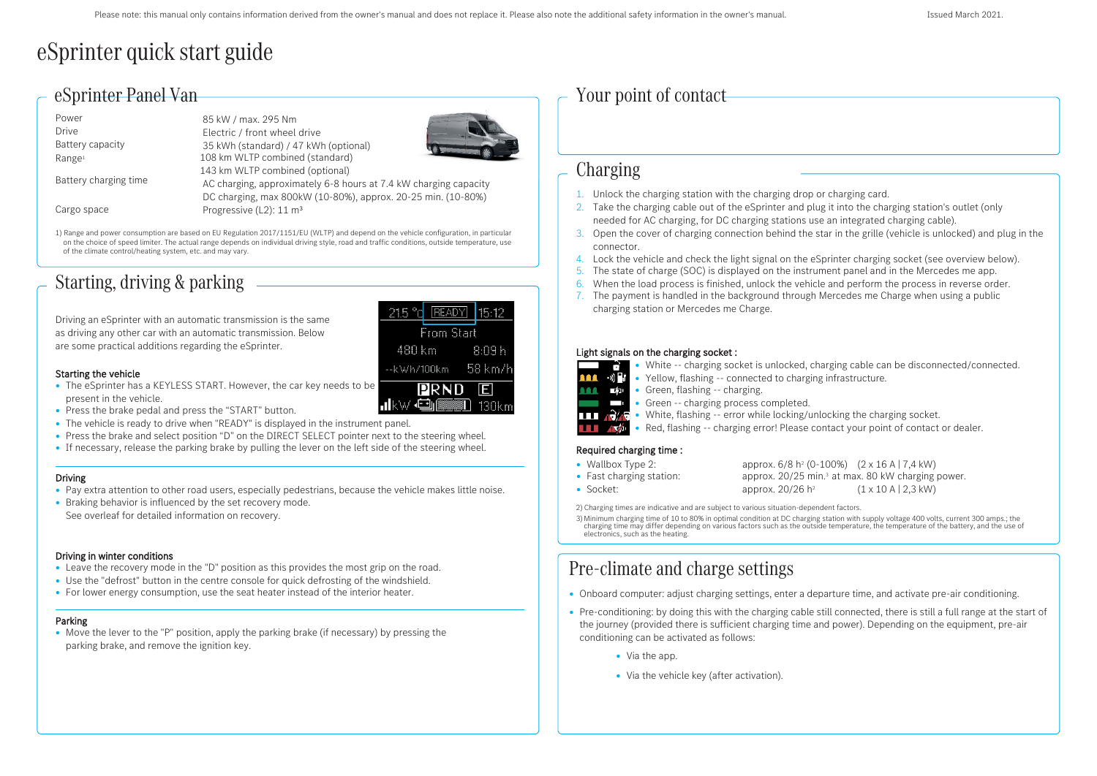# eSprinter quick start guide

# eSprinter Panel Van

| Power                 | 85 kW / max. 295 Nm                                              |  |  |  |  |
|-----------------------|------------------------------------------------------------------|--|--|--|--|
| Drive                 | Electric / front wheel drive                                     |  |  |  |  |
| Battery capacity      | 35 kWh (standard) / 47 kWh (optional)                            |  |  |  |  |
| Range <sup>1</sup>    | 108 km WLTP combined (standard)                                  |  |  |  |  |
| Battery charging time | 143 km WLTP combined (optional)                                  |  |  |  |  |
|                       | AC charging, approximately 6-8 hours at 7.4 kW charging capacity |  |  |  |  |
|                       | DC charging, max 800kW (10-80%), approx. 20-25 min. (10-80%)     |  |  |  |  |
| Cargo space           | Progressive (L2): 11 m <sup>3</sup>                              |  |  |  |  |

1) Range and power consumption are based on EU Regulation 2017/1151/EU (WLTP) and depend on the vehicle configuration, in particular on the choice of speed limiter. The actual range depends on individual driving style, road and traffic conditions, outside temperature, use of the climate control/heating system, etc. and may vary.

# Starting, driving & parking

Driving an eSprinter with an automatic transmission is the same as driving any other car with an automatic transmission. Below are some practical additions regarding the eSprinter.



### Starting the vehicle

- The eSprinter has a KEYLESS START. However, the car key needs to be present in the vehicle.
- Press the brake pedal and press the "START" button.
- The vehicle is ready to drive when "READY" is displayed in the instrument panel.
- Press the brake and select position "D" on the DIRECT SELECT pointer next to the steering wheel.
- If necessary, release the parking brake by pulling the lever on the left side of the steering wheel.

# Driving

- Pay extra attention to other road users, especially pedestrians, because the vehicle makes little noise.
- Braking behavior is influenced by the set recovery mode. See overleaf for detailed information on recovery.

# Driving in winter conditions

- Leave the recovery mode in the "D" position as this provides the most grip on the road.
- Use the "defrost" button in the centre console for quick defrosting of the windshield.
- For lower energy consumption, use the seat heater instead of the interior heater.

## Parking

• Move the lever to the "P" position, apply the parking brake (if necessary) by pressing the parking brake, and remove the ignition key.

# Your point of contact

# Charging

- 1. Unlock the charging station with the charging drop or charging card.
- 2. Take the charging cable out of the eSprinter and plug it into the charging station's outlet (only needed for AC charging, for DC charging stations use an integrated charging cable).
- 3. Open the cover of charging connection behind the star in the grille (vehicle is unlocked) and plug in the connector.
- 4. Lock the vehicle and check the light signal on the eSprinter charging socket (see overview below).
- 5. The state of charge (SOC) is displayed on the instrument panel and in the Mercedes me app.
- 6. When the load process is finished, unlock the vehicle and perform the process in reverse order.
- 7. The payment is handled in the background through Mercedes me Charge when using a public charging station or Mercedes me Charge.

## Light signals on the charging socket :

• White -- charging socket is unlocked, charging cable can be disconnected/connected.



- Yellow, flashing -- connected to charging infrastructure.
- **11 En •** Green, flashing -- charging.
	- Green -- charging process completed.
- $\prod_{i}$ ,  $\bigcup_{i}$ ,  $\bigcup_{i}$  White, flashing -- error while locking/unlocking the charging socket.
- Red, flashing -- charging error! Please contact your point of contact or dealer.  $\blacksquare$   $\blacktriangle$   $\#$

# Required charging time :

- Wallbox Type 2:
- Fast charging station:
- Socket:

|                              |  |  |  | approx. 6/8 h <sup>2</sup> (0-100%) (2 x 16 A   7.4 kW)       |  |
|------------------------------|--|--|--|---------------------------------------------------------------|--|
|                              |  |  |  | approx, 20/25 min. <sup>3</sup> at max, 80 kW charging power, |  |
| approx. 20/26 h <sup>2</sup> |  |  |  | $(1 \times 10 \text{ A} \mid 2,3 \text{ kW})$                 |  |

2) Charging times are indicative and are subject to various situation-dependent factors.

3) Minimum charging time of 10 to 80% in optimal condition at DC charging station with supply voltage 400 volts, current 300 amps.; the charging time may differ depending on various factors such as the outside temperature,

# Pre-climate and charge settings

- Onboard computer: adjust charging settings, enter a departure time, and activate pre-air conditioning.
- Pre-conditioning: by doing this with the charging cable still connected, there is still a full range at the start of the journey (provided there is sufficient charging time and power). Depending on the equipment, pre-air conditioning can be activated as follows:
	- Via the app.
	- Via the vehicle key (after activation).